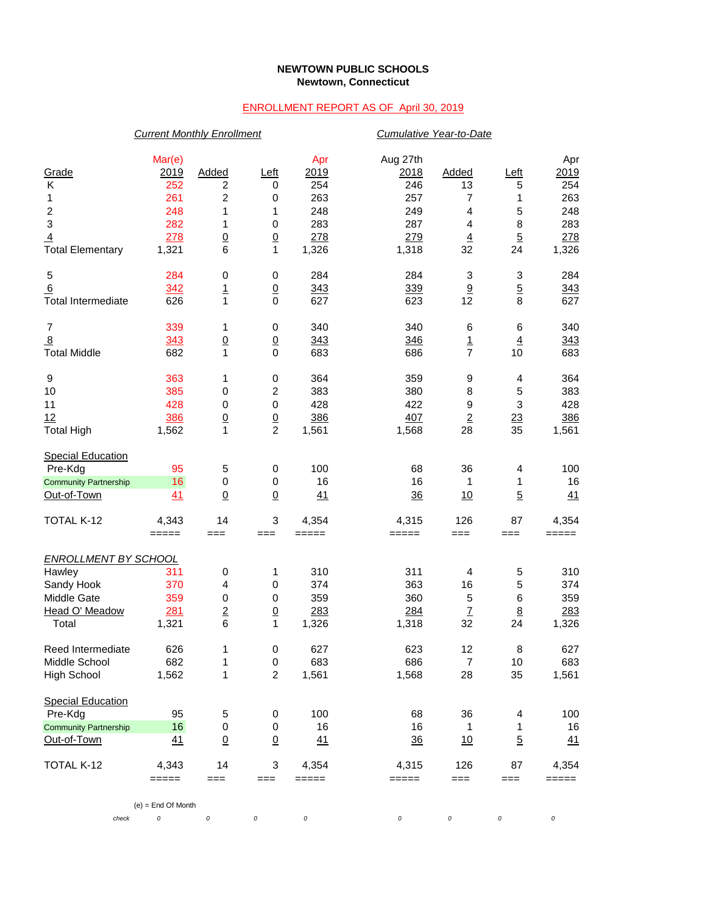## **NEWTOWN PUBLIC SCHOOLS Newtown, Connecticut**

## ENROLLMENT REPORT AS OF April 30, 2019

|                                                                                    | <b>Current Monthly Enrollment</b>                 |                                                     |                                                     |                                                |                                                     | Cumulative Year-to-Date                      |                                            |                                                |  |  |
|------------------------------------------------------------------------------------|---------------------------------------------------|-----------------------------------------------------|-----------------------------------------------------|------------------------------------------------|-----------------------------------------------------|----------------------------------------------|--------------------------------------------|------------------------------------------------|--|--|
| Grade<br>Κ<br>1<br>$\overline{\mathbf{c}}$<br>3<br>$\overline{4}$                  | Mar(e)<br>2019<br>252<br>261<br>248<br>282<br>278 | <b>Added</b><br>2<br>2<br>1<br>1<br>$\underline{0}$ | Left<br>0<br>0<br>1<br>$\pmb{0}$<br>$\underline{0}$ | Apr<br>2019<br>254<br>263<br>248<br>283<br>278 | Aug 27th<br>2018<br>246<br>257<br>249<br>287<br>279 | Added<br>13<br>7<br>4<br>4<br>$\overline{4}$ | Left<br>5<br>1<br>5<br>8<br>$\overline{5}$ | Apr<br>2019<br>254<br>263<br>248<br>283<br>278 |  |  |
| <b>Total Elementary</b>                                                            | 1,321                                             | 6                                                   | 1                                                   | 1,326                                          | 1,318                                               | 32                                           | 24                                         | 1,326                                          |  |  |
| 5<br>6<br><b>Total Intermediate</b>                                                | 284<br>342<br>626                                 | 0<br>$\overline{1}$<br>$\mathbf{1}$                 | $\,0\,$<br>$\underline{0}$<br>$\mathbf 0$           | 284<br>343<br>627                              | 284<br>339<br>623                                   | 3<br>9<br>12                                 | 3<br>$\overline{5}$<br>8                   | 284<br>343<br>627                              |  |  |
| $\overline{7}$<br>8<br><b>Total Middle</b>                                         | 339<br>343<br>682                                 | 1<br>$\underline{0}$<br>1                           | 0<br>$\underline{0}$<br>$\mathbf 0$                 | 340<br>343<br>683                              | 340<br>346<br>686                                   | 6<br>$\overline{1}$<br>$\overline{7}$        | 6<br>$\overline{4}$<br>10                  | 340<br>343<br>683                              |  |  |
| 9<br>10<br>11<br>12<br><b>Total High</b>                                           | 363<br>385<br>428<br>386<br>1,562                 | 1<br>0<br>0<br>$\underline{0}$<br>1                 | 0<br>2<br>$\mathbf 0$<br>$\frac{0}{2}$              | 364<br>383<br>428<br>386<br>1,561              | 359<br>380<br>422<br>407<br>1,568                   | 9<br>8<br>9<br>$\overline{2}$<br>28          | 4<br>5<br>3<br>$\overline{23}$<br>35       | 364<br>383<br>428<br>386<br>1,561              |  |  |
| <b>Special Education</b><br>Pre-Kdg<br><b>Community Partnership</b><br>Out-of-Town | 95<br>16<br>41                                    | 5<br>$\pmb{0}$<br>$\underline{0}$                   | 0<br>0<br>$\underline{0}$                           | 100<br>16<br>41                                | 68<br>16<br>36                                      | 36<br>1<br>10                                | 4<br>1<br>$\overline{5}$                   | 100<br>16<br>41                                |  |  |
| TOTAL K-12                                                                         | 4,343<br>$=====$                                  | 14<br>$==$                                          | 3<br>$==$                                           | 4,354<br>$=====$                               | 4,315<br>=====                                      | 126<br>$==$                                  | 87<br>===                                  | 4,354<br>$=====$                               |  |  |
| <b>ENROLLMENT BY SCHOOL</b>                                                        |                                                   |                                                     |                                                     |                                                |                                                     |                                              |                                            |                                                |  |  |
| Hawley<br>Sandy Hook<br>Middle Gate<br>Head O' Meadow<br>Total                     | 311<br>370<br>359<br>281<br>1,321                 | 0<br>4<br>$\pmb{0}$<br>$\mathbf 2$<br>6             | 1<br>0<br>$\,0\,$<br>$\overline{0}$<br>1            | 310<br>374<br>359<br>283<br>1,326              | 311<br>363<br>360<br>284<br>1,318                   | 4<br>16<br>5<br>$\overline{1}$<br>32         | 5<br>5<br>$\,6$<br>$\underline{8}$<br>24   | 310<br>374<br>359<br>283<br>1,326              |  |  |
| Reed Intermediate<br>Middle School<br><b>High School</b>                           | 626<br>682<br>1,562                               | 1<br>1<br>1                                         | 0<br>$\,0\,$<br>$\overline{c}$                      | 627<br>683<br>1,561                            | 623<br>686<br>1,568                                 | 12<br>$\overline{7}$<br>28                   | 8<br>10<br>35                              | 627<br>683<br>1,561                            |  |  |
| <b>Special Education</b><br>Pre-Kdg<br><b>Community Partnership</b><br>Out-of-Town | 95<br>16<br>41                                    | 5<br>0<br>$\underline{0}$                           | 0<br>0<br>$\underline{0}$                           | 100<br>16<br>41                                | 68<br>16<br>$\frac{36}{5}$                          | 36<br>1<br>10                                | 4<br>1<br>$\overline{5}$                   | 100<br>16<br>41                                |  |  |
| TOTAL K-12                                                                         | 4,343<br>=====                                    | 14<br>$==$                                          | 3<br>===                                            | 4,354<br>=====                                 | 4,315<br>=====                                      | 126<br>$==$                                  | 87<br>===                                  | 4,354<br>$=====$                               |  |  |
|                                                                                    | $(e)$ = End Of Month                              |                                                     |                                                     |                                                |                                                     |                                              |                                            |                                                |  |  |
| check                                                                              | 0                                                 | $\cal O$                                            | $\cal O$                                            | 0                                              | $\cal O$                                            | 0                                            | 0                                          | $\cal O$                                       |  |  |